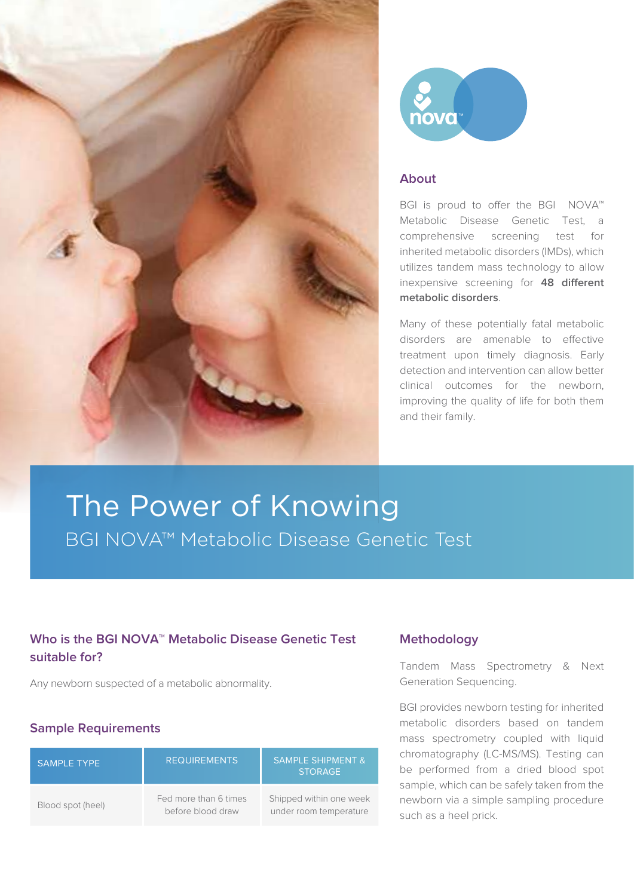



## **About**

BGI is proud to offer the BGI NOVA™ Metabolic Disease Genetic Test, a comprehensive screening test for inherited metabolic disorders (IMDs), which utilizes tandem mass technology to allow inexpensive screening for **48 different metabolic disorders**.

Many of these potentially fatal metabolic disorders are amenable to effective treatment upon timely diagnosis. Early detection and intervention can allow better clinical outcomes for the newborn, improving the quality of life for both them and their family.

# The Power of Knowing BGI NOVA™ Metabolic Disease Genetic Test

## **Who is the BGI NOVA™ Metabolic Disease Genetic Test suitable for?**

Any newborn suspected of a metabolic abnormality.

## **Sample Requirements**

| <b>SAMPLE TYPE</b> | <b>REQUIREMENTS</b>                        | <b>SAMPLE SHIPMENT &amp;</b><br><b>STORAGE</b>    |
|--------------------|--------------------------------------------|---------------------------------------------------|
| Blood spot (heel)  | Fed more than 6 times<br>before blood draw | Shipped within one week<br>under room temperature |

### **Methodology**

Tandem Mass Spectrometry & Next Generation Sequencing.

BGI provides newborn testing for inherited metabolic disorders based on tandem mass spectrometry coupled with liquid chromatography (LC-MS/MS). Testing can be performed from a dried blood spot sample, which can be safely taken from the newborn via a simple sampling procedure such as a heel prick.